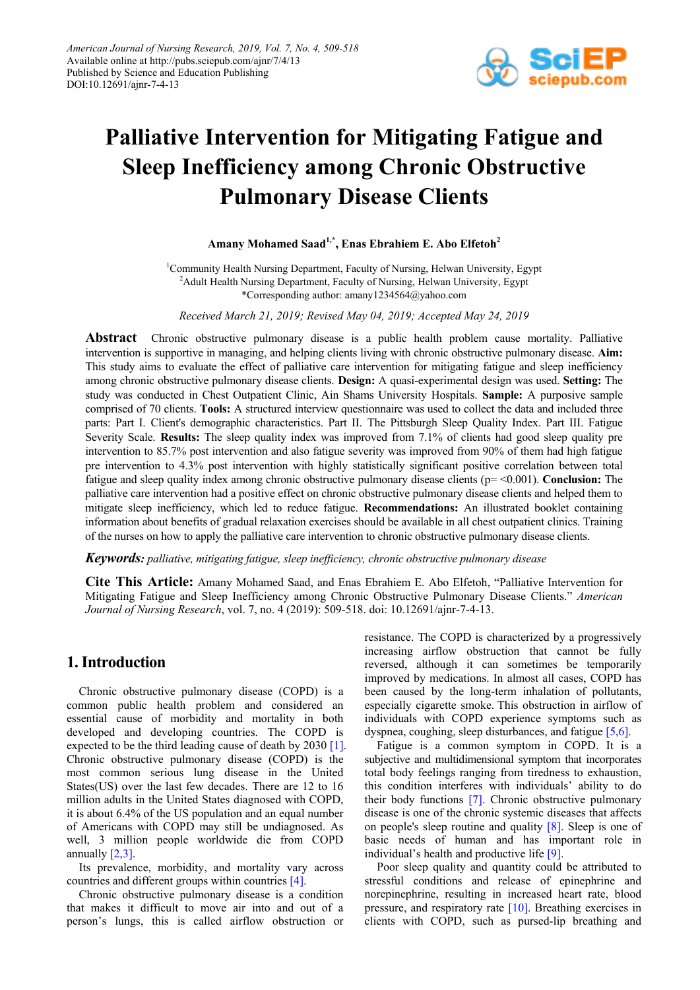

# **Palliative Intervention for Mitigating Fatigue and Sleep Inefficiency among Chronic Obstructive Pulmonary Disease Clients**

# **Amany Mohamed Saad1,\*, Enas Ebrahiem E. Abo Elfetoh2**

<sup>1</sup>Community Health Nursing Department, Faculty of Nursing, Helwan University, Egypt <sup>2</sup>Adult Health Nursing Department, Faculty of Nursing, Helwan University, Egypt \*Corresponding author: amany1234564@yahoo.com

*Received March 21, 2019; Revised May 04, 2019; Accepted May 24, 2019*

**Abstract** Chronic obstructive pulmonary disease is a public health problem cause mortality. Palliative intervention is supportive in managing, and helping clients living with chronic obstructive pulmonary disease. **Aim:** This study aims to evaluate the effect of palliative care intervention for mitigating fatigue and sleep inefficiency among chronic obstructive pulmonary disease clients. **Design:** A quasi-experimental design was used. **Setting:** The study was conducted in Chest Outpatient Clinic, Ain Shams University Hospitals. **Sample:** A purposive sample comprised of 70 clients. **Tools:** A structured interview questionnaire was used to collect the data and included three parts: Part I. Client's demographic characteristics. Part II. The Pittsburgh Sleep Quality Index. Part III. Fatigue Severity Scale. **Results:** The sleep quality index was improved from 7.1% of clients had good sleep quality pre intervention to 85.7% post intervention and also fatigue severity was improved from 90% of them had high fatigue pre intervention to 4.3% post intervention with highly statistically significant positive correlation between total fatigue and sleep quality index among chronic obstructive pulmonary disease clients (p= <0.001). **Conclusion:** The palliative care intervention had a positive effect on chronic obstructive pulmonary disease clients and helped them to mitigate sleep inefficiency, which led to reduce fatigue. **Recommendations:** An illustrated booklet containing information about benefits of gradual relaxation exercises should be available in all chest outpatient clinics. Training of the nurses on how to apply the palliative care intervention to chronic obstructive pulmonary disease clients.

## *Keywords: palliative, mitigating fatigue, sleep inefficiency, chronic obstructive pulmonary disease*

**Cite This Article:** Amany Mohamed Saad, and Enas Ebrahiem E. Abo Elfetoh, "Palliative Intervention for Mitigating Fatigue and Sleep Inefficiency among Chronic Obstructive Pulmonary Disease Clients." *American Journal of Nursing Research*, vol. 7, no. 4 (2019): 509-518. doi: 10.12691/ajnr-7-4-13.

# **1. Introduction**

Chronic obstructive pulmonary disease (COPD) is a common public health problem and considered an essential cause of morbidity and mortality in both developed and developing countries. The COPD is expected to be the third leading cause of death by 2030 [\[1\].](#page-8-0) Chronic obstructive pulmonary disease (COPD) is the most common serious lung disease in the United States(US) over the last few decades. There are 12 to 16 million adults in the United States diagnosed with COPD, it is about 6.4% of the US population and an equal number of Americans with COPD may still be undiagnosed. As well, 3 million people worldwide die from COPD annually  $[2,3]$ .

Its prevalence, morbidity, and mortality vary across countries and different groups within countrie[s \[4\].](#page-8-2)

Chronic obstructive pulmonary disease is a condition that makes it difficult to move air into and out of a person's lungs, this is called airflow obstruction or

resistance. The COPD is characterized by a progressively increasing airflow obstruction that cannot be fully reversed, although it can sometimes be temporarily improved by medications. In almost all cases, COPD has been caused by the long-term inhalation of pollutants, especially cigarette smoke. This obstruction in airflow of individuals with COPD experience symptoms such as dyspnea, coughing, sleep disturbances, and fatigue [\[5,6\].](#page-8-3)

Fatigue is a common symptom in COPD. It is a subjective and multidimensional symptom that incorporates total body feelings ranging from tiredness to exhaustion, this condition interferes with individuals' ability to do their body functions [\[7\].](#page-8-4) Chronic obstructive pulmonary disease is one of the chronic systemic diseases that affects on people's sleep routine and quality [\[8\].](#page-8-5) Sleep is one of basic needs of human and has important role in individual's health and productive life [\[9\].](#page-8-6)

Poor sleep quality and quantity could be attributed to stressful conditions and release of epinephrine and norepinephrine, resulting in increased heart rate, blood pressure, and respiratory rate [\[10\].](#page-8-7) Breathing exercises in clients with COPD, such as pursed-lip breathing and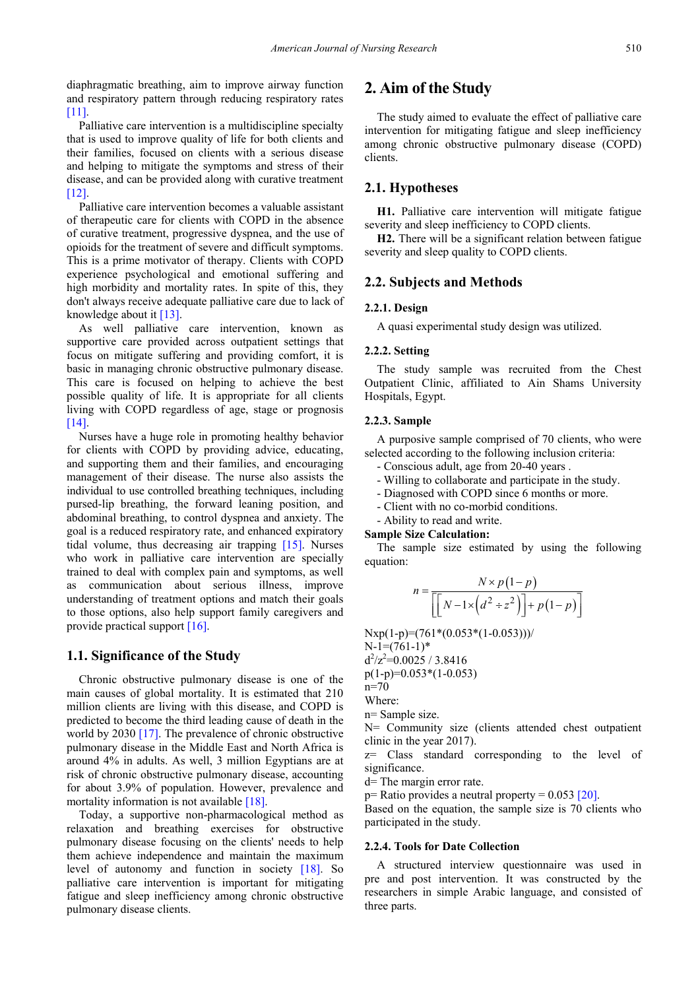diaphragmatic breathing, aim to improve airway function and respiratory pattern through reducing respiratory rates [\[11\].](#page-8-8)

Palliative care intervention is a multidiscipline specialty that is used to improve quality of life for both clients and their families, focused on clients with a serious disease and helping to mitigate the symptoms and stress of their disease, and can be provided along with curative treatment [\[12\].](#page-8-9)

Palliative care intervention becomes a valuable assistant of therapeutic care for clients with COPD in the absence of curative treatment, progressive dyspnea, and the use of opioids for the treatment of severe and difficult symptoms. This is a prime motivator of therapy. Clients with COPD experience psychological and emotional suffering and high morbidity and mortality rates. In spite of this, they don't always receive adequate palliative care due to lack of knowledge about it [\[13\].](#page-8-10)

As well palliative care intervention, known as supportive care provided across outpatient settings that focus on mitigate suffering and providing comfort, it is basic in managing chronic obstructive pulmonary disease. This care is focused on helping to achieve the best possible quality of life. It is appropriate for all clients living with COPD regardless of age, stage or prognosis [\[14\].](#page-8-11)

Nurses have a huge role in promoting healthy behavior for clients with COPD by providing advice, educating, and supporting them and their families, and encouraging management of their disease. The nurse also assists the individual to use controlled breathing techniques, including pursed-lip breathing, the forward leaning position, and abdominal breathing, to control dyspnea and anxiety. The goal is a reduced respiratory rate, and enhanced expiratory tidal volume, thus decreasing air trapping [\[15\].](#page-8-12) Nurses who work in palliative care intervention are specially trained to deal with complex pain and symptoms, as well as communication about serious illness, improve understanding of treatment options and match their goals to those options, also help support family caregivers and provide practical support  $[16]$ .

#### **1.1. Significance of the Study**

Chronic obstructive pulmonary disease is one of the main causes of global mortality. It is estimated that 210 million clients are living with this disease, and COPD is predicted to become the third leading cause of death in the world by 2030 [\[17\].](#page-9-0) The prevalence of chronic obstructive pulmonary disease in the Middle East and North Africa is around 4% in adults. As well, 3 million Egyptians are at risk of chronic obstructive pulmonary disease, accounting for about 3.9% of population. However, prevalence and mortality information is not availabl[e \[18\].](#page-9-1)

Today, a supportive non-pharmacological method as relaxation and breathing exercises for obstructive pulmonary disease focusing on the clients' needs to help them achieve independence and maintain the maximum level of autonomy and function in society [\[18\].](#page-9-1) So palliative care intervention is important for mitigating fatigue and sleep inefficiency among chronic obstructive pulmonary disease clients.

# **2. Aim of the Study**

The study aimed to evaluate the effect of palliative care intervention for mitigating fatigue and sleep inefficiency among chronic obstructive pulmonary disease (COPD) clients.

## **2.1. Hypotheses**

**H1.** Palliative care intervention will mitigate fatigue severity and sleep inefficiency to COPD clients.

**H2.** There will be a significant relation between fatigue severity and sleep quality to COPD clients.

# **2.2. Subjects and Methods**

#### **2.2.1. Design**

A quasi experimental study design was utilized.

#### **2.2.2. Setting**

The study sample was recruited from the Chest Outpatient Clinic, affiliated to Ain Shams University Hospitals, Egypt.

#### **2.2.3. Sample**

A purposive sample comprised of 70 clients, who were selected according to the following inclusion criteria:

- Conscious adult, age from 20-40 years .
- Willing to collaborate and participate in the study.
- Diagnosed with COPD since 6 months or more.
- Client with no co-morbid conditions.
- Ability to read and write.

#### **Sample Size Calculation:**

The sample size estimated by using the following equation:

$$
n = \frac{N \times p(1-p)}{\left[\left[N-1 \times \left(d^2 \div z^2\right)\right] + p(1-p)\right]}
$$

Nxp(1-p)=(761\*(0.053\*(1-0.053)))/  $N-1=(761-1)*$ 

 $d^2/z^2 = 0.0025 / 3.8416$ 

p(1-p)=0.053\*(1-0.053)

n=70

Where:

n= Sample size.

N= Community size (clients attended chest outpatient clinic in the year 2017).

z= Class standard corresponding to the level of significance.

d= The margin error rate.

 $p=$  Ratio provides a neutral property = 0.053 [\[20\].](#page-9-2)

Based on the equation, the sample size is 70 clients who participated in the study.

#### **2.2.4. Tools for Date Collection**

A structured interview questionnaire was used in pre and post intervention. It was constructed by the researchers in simple Arabic language, and consisted of three parts.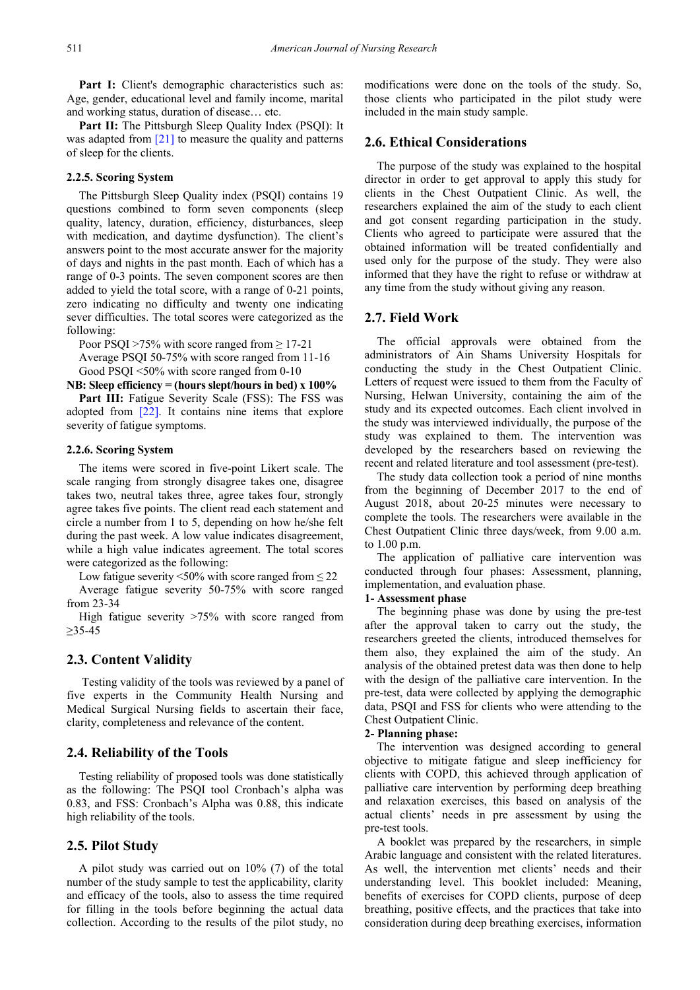Part I: Client's demographic characteristics such as: Age, gender, educational level and family income, marital and working status, duration of disease… etc.

**Part II:** The Pittsburgh Sleep Quality Index (PSQI): It was adapted from [\[21\]](#page-9-3) to measure the quality and patterns of sleep for the clients.

#### **2.2.5. Scoring System**

The Pittsburgh Sleep Quality index (PSQI) contains 19 questions combined to form seven components (sleep quality, latency, duration, efficiency, disturbances, sleep with medication, and daytime dysfunction). The client's answers point to the most accurate answer for the majority of days and nights in the past month. Each of which has a range of 0-3 points. The seven component scores are then added to yield the total score, with a range of 0-21 points, zero indicating no difficulty and twenty one indicating sever difficulties. The total scores were categorized as the following:

Poor PSQI >75% with score ranged from  $\geq$  17-21

Average PSQI 50-75% with score ranged from 11-16 Good PSQI <50% with score ranged from 0-10

**NB: Sleep efficiency = (hours slept/hours in bed) x 100%**

**Part III:** Fatigue Severity Scale (FSS): The FSS was adopted from [\[22\].](#page-9-4) It contains nine items that explore severity of fatigue symptoms.

#### **2.2.6. Scoring System**

The items were scored in five-point Likert scale. The scale ranging from strongly disagree takes one, disagree takes two, neutral takes three, agree takes four, strongly agree takes five points. The client read each statement and circle a number from 1 to 5, depending on how he/she felt during the past week. A low value indicates disagreement, while a high value indicates agreement. The total scores were categorized as the following:

Low fatigue severity  $\leq 50\%$  with score ranged from  $\leq 22$ 

Average fatigue severity 50-75% with score ranged from 23-34

High fatigue severity >75% with score ranged from ≥35-45

# **2.3. Content Validity**

Testing validity of the tools was reviewed by a panel of five experts in the Community Health Nursing and Medical Surgical Nursing fields to ascertain their face, clarity, completeness and relevance of the content.

# **2.4. Reliability of the Tools**

Testing reliability of proposed tools was done statistically as the following: The PSQI tool Cronbach's alpha was 0.83, and FSS: Cronbach's Alpha was 0.88, this indicate high reliability of the tools.

## **2.5. Pilot Study**

A pilot study was carried out on 10% (7) of the total number of the study sample to test the applicability, clarity and efficacy of the tools, also to assess the time required for filling in the tools before beginning the actual data collection. According to the results of the pilot study, no

modifications were done on the tools of the study. So, those clients who participated in the pilot study were included in the main study sample.

## **2.6. Ethical Considerations**

The purpose of the study was explained to the hospital director in order to get approval to apply this study for clients in the Chest Outpatient Clinic. As well, the researchers explained the aim of the study to each client and got consent regarding participation in the study. Clients who agreed to participate were assured that the obtained information will be treated confidentially and used only for the purpose of the study. They were also informed that they have the right to refuse or withdraw at any time from the study without giving any reason.

# **2.7. Field Work**

The official approvals were obtained from the administrators of Ain Shams University Hospitals for conducting the study in the Chest Outpatient Clinic. Letters of request were issued to them from the Faculty of Nursing, Helwan University, containing the aim of the study and its expected outcomes. Each client involved in the study was interviewed individually, the purpose of the study was explained to them. The intervention was developed by the researchers based on reviewing the recent and related literature and tool assessment (pre-test).

The study data collection took a period of nine months from the beginning of December 2017 to the end of August 2018, about 20-25 minutes were necessary to complete the tools. The researchers were available in the Chest Outpatient Clinic three days/week, from 9.00 a.m. to 1.00 p.m.

The application of palliative care intervention was conducted through four phases: Assessment, planning, implementation, and evaluation phase.

#### **1- Assessment phase**

The beginning phase was done by using the pre-test after the approval taken to carry out the study, the researchers greeted the clients, introduced themselves for them also, they explained the aim of the study. An analysis of the obtained pretest data was then done to help with the design of the palliative care intervention. In the pre-test, data were collected by applying the demographic data, PSQI and FSS for clients who were attending to the Chest Outpatient Clinic.

## **2- Planning phase:**

The intervention was designed according to general objective to mitigate fatigue and sleep inefficiency for clients with COPD, this achieved through application of palliative care intervention by performing deep breathing and relaxation exercises, this based on analysis of the actual clients' needs in pre assessment by using the pre-test tools.

A booklet was prepared by the researchers, in simple Arabic language and consistent with the related literatures. As well, the intervention met clients' needs and their understanding level. This booklet included: Meaning, benefits of exercises for COPD clients, purpose of deep breathing, positive effects, and the practices that take into consideration during deep breathing exercises, information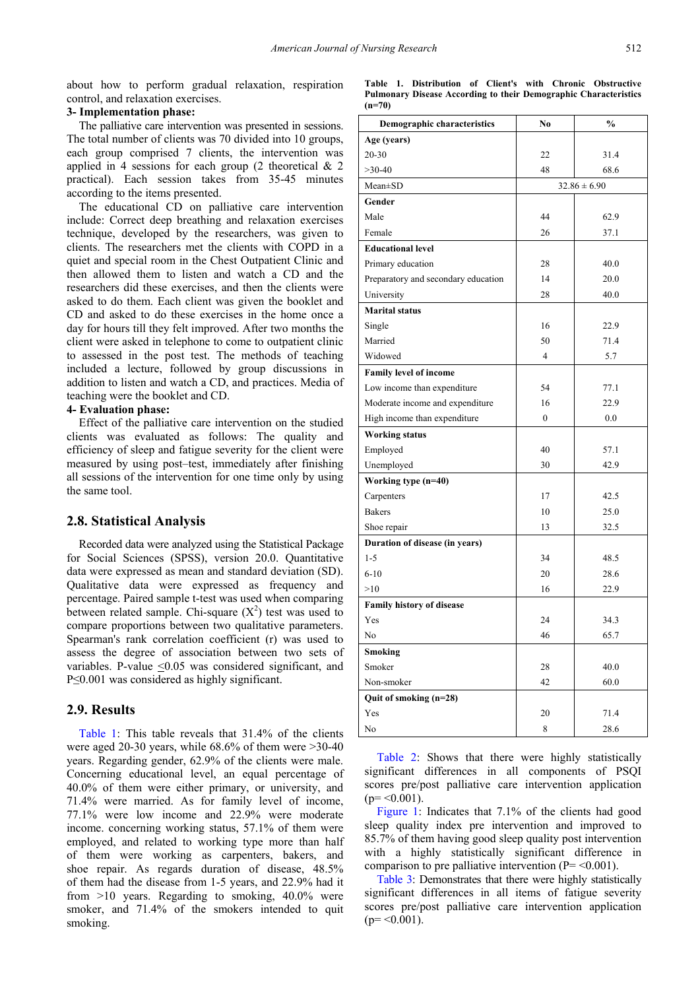about how to perform gradual relaxation, respiration control, and relaxation exercises.

# **3- Implementation phase:**

The palliative care intervention was presented in sessions. The total number of clients was 70 divided into 10 groups, each group comprised 7 clients, the intervention was applied in 4 sessions for each group  $(2 \text{ theoretical } \& 2)$ practical). Each session takes from 35-45 minutes according to the items presented.

The educational CD on palliative care intervention include: Correct deep breathing and relaxation exercises technique, developed by the researchers, was given to clients. The researchers met the clients with COPD in a quiet and special room in the Chest Outpatient Clinic and then allowed them to listen and watch a CD and the researchers did these exercises, and then the clients were asked to do them. Each client was given the booklet and CD and asked to do these exercises in the home once a day for hours till they felt improved. After two months the client were asked in telephone to come to outpatient clinic to assessed in the post test. The methods of teaching included a lecture, followed by group discussions in addition to listen and watch a CD, and practices. Media of teaching were the booklet and CD.

#### **4- Evaluation phase:**

Effect of the palliative care intervention on the studied clients was evaluated as follows: The quality and efficiency of sleep and fatigue severity for the client were measured by using post–test, immediately after finishing all sessions of the intervention for one time only by using the same tool.

# **2.8. Statistical Analysis**

Recorded data were analyzed using the Statistical Package for Social Sciences (SPSS), version 20.0. Quantitative data were expressed as mean and standard deviation (SD). Qualitative data were expressed as frequency and percentage. Paired sample t-test was used when comparing between related sample. Chi-square  $(X^2)$  test was used to compare proportions between two qualitative parameters. Spearman's rank correlation coefficient (r) was used to assess the degree of association between two sets of variables. P-value <0.05 was considered significant, and P≤0.001 was considered as highly significant.

### **2.9. Results**

[Table 1:](#page-3-0) This table reveals that 31.4% of the clients were aged 20-30 years, while 68.6% of them were >30-40 years. Regarding gender, 62.9% of the clients were male. Concerning educational level, an equal percentage of 40.0% of them were either primary, or university, and 71.4% were married. As for family level of income, 77.1% were low income and 22.9% were moderate income. concerning working status, 57.1% of them were employed, and related to working type more than half of them were working as carpenters, bakers, and shoe repair. As regards duration of disease, 48.5% of them had the disease from 1-5 years, and 22.9% had it from >10 years. Regarding to smoking, 40.0% were smoker, and 71.4% of the smokers intended to quit smoking.

|                                                                         |  | Table 1. Distribution of Client's with Chronic Obstructive |  |  |  |  |  |
|-------------------------------------------------------------------------|--|------------------------------------------------------------|--|--|--|--|--|
| <b>Pulmonary Disease According to their Demographic Characteristics</b> |  |                                                            |  |  |  |  |  |
| $(n=70)$                                                                |  |                                                            |  |  |  |  |  |

<span id="page-3-0"></span>

| <b>Demographic characteristics</b>  | No               | $\frac{0}{0}$    |  |
|-------------------------------------|------------------|------------------|--|
| Age (years)                         |                  |                  |  |
| $20 - 30$                           | 22               | 31.4             |  |
| $>30-40$                            | 48               | 68.6             |  |
| $Mean \pm SD$                       |                  | $32.86 \pm 6.90$ |  |
| Gender                              |                  |                  |  |
| Male                                | 44               | 62.9             |  |
| Female                              | 26               | 37.1             |  |
| <b>Educational level</b>            |                  |                  |  |
| Primary education                   | 28               | 40.0             |  |
| Preparatory and secondary education | 14               | 20.0             |  |
| University                          | 28               | 40.0             |  |
| <b>Marital status</b>               |                  |                  |  |
| Single                              | 16               | 22.9             |  |
| Married                             | 50               | 71.4             |  |
| Widowed                             | 4                | 5.7              |  |
| <b>Family level of income</b>       |                  |                  |  |
| Low income than expenditure         | 54               | 77.1             |  |
| Moderate income and expenditure     | 16               | 22.9             |  |
| High income than expenditure        | $\boldsymbol{0}$ | 0.0              |  |
| <b>Working status</b>               |                  |                  |  |
| Employed                            | 40               | 57.1             |  |
| Unemployed                          | 30               | 42.9             |  |
| Working type (n=40)                 |                  |                  |  |
| Carpenters                          | 17               | 42.5             |  |
| <b>Bakers</b>                       | 10               | 25.0             |  |
| Shoe repair                         | 13               | 32.5             |  |
| Duration of disease (in years)      |                  |                  |  |
| $1 - 5$                             | 34               | 48.5             |  |
| $6 - 10$                            | 20               | 28.6             |  |
| >10                                 | 16               | 22.9             |  |
| Family history of disease           |                  |                  |  |
| Yes                                 | 24               | 34.3             |  |
| No                                  | 46               | 65.7             |  |
| <b>Smoking</b>                      |                  |                  |  |
| Smoker                              | 28               | 40.0             |  |
| Non-smoker                          | 42               | 60.0             |  |
| Quit of smoking (n=28)              |                  |                  |  |
| Yes                                 | 20               | 71.4             |  |
| No                                  | 8                | 28.6             |  |

[Table 2:](#page-4-0) Shows that there were highly statistically significant differences in all components of PSQI scores pre/post palliative care intervention application  $(p = \le 0.001)$ .

[Figure 1:](#page-6-0) Indicates that 7.1% of the clients had good sleep quality index pre intervention and improved to 85.7% of them having good sleep quality post intervention with a highly statistically significant difference in comparison to pre palliative intervention  $(P = < 0.001)$ .

[Table 3:](#page-5-0) Demonstrates that there were highly statistically significant differences in all items of fatigue severity scores pre/post palliative care intervention application  $(p = 0.001)$ .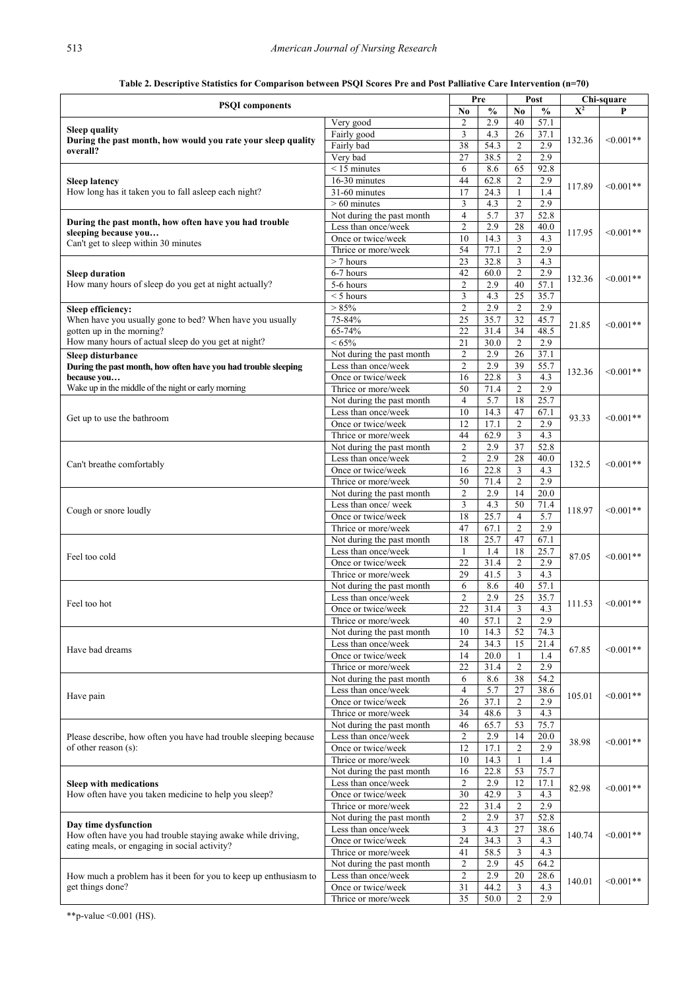<span id="page-4-0"></span>

|                                                                                     |                                                  |                                  | Pre               |                                  | Post          | Chi-square |             |
|-------------------------------------------------------------------------------------|--------------------------------------------------|----------------------------------|-------------------|----------------------------------|---------------|------------|-------------|
| <b>PSQI</b> components                                                              |                                                  | No                               | $\frac{0}{0}$     | No                               | $\frac{0}{0}$ | $X^2$      |             |
| <b>Sleep quality</b>                                                                | Very good                                        | $\overline{c}$                   | 2.9               | 40                               | 57.1          |            | $<0.001**$  |
| During the past month, how would you rate your sleep quality                        | Fairly good                                      | 3                                | 4.3               | 26                               | 37.1          | 132.36     |             |
| overall?                                                                            | Fairly bad                                       | 38<br>27                         | 54.3              | $\overline{2}$<br>$\overline{c}$ | 2.9<br>2.9    |            |             |
|                                                                                     | Very bad<br>$< 15$ minutes                       | 6                                | 38.5<br>8.6       | 65                               | 92.8          |            |             |
| <b>Sleep latency</b>                                                                | $16-30$ minutes                                  | 44                               | 62.8              | $\overline{2}$                   | 2.9           |            |             |
| How long has it taken you to fall asleep each night?                                | 31-60 minutes                                    | 17                               | 24.3              | 1                                | 1.4           | 117.89     | $<0.001**$  |
|                                                                                     | $>60$ minutes                                    | 3                                | 4.3               | $\overline{2}$                   | 2.9           |            |             |
|                                                                                     | Not during the past month                        | $\overline{4}$                   | 5.7               | 37                               | 52.8          |            |             |
| During the past month, how often have you had trouble<br>sleeping because you       | Less than once/week                              | $\overline{2}$                   | 2.9               | 28                               | 40.0          | 117.95     | $<0.001**$  |
| Can't get to sleep within 30 minutes                                                | Once or twice/week                               | 10                               | 14.3              | 3                                | 4.3           |            |             |
|                                                                                     | Thrice or more/week                              | 54                               | 77.1              | $\overline{2}$                   | 2.9           |            |             |
|                                                                                     | $> 7$ hours                                      | 23                               | 32.8              | 3                                | 4.3           |            |             |
| <b>Sleep duration</b>                                                               | 6-7 hours                                        | 42                               | 60.0              | $\overline{c}$                   | 2.9           | 132.36     | $<0.001**$  |
| How many hours of sleep do you get at night actually?                               | 5-6 hours                                        | $\overline{2}$                   | 2.9               | 40                               | 57.1          |            |             |
|                                                                                     | $<$ 5 hours<br>> 85%                             | 3<br>$\overline{2}$              | 4.3<br>2.9        | 25<br>$\overline{2}$             | 35.7<br>2.9   |            |             |
| Sleep efficiency:<br>When have you usually gone to bed? When have you usually       | 75-84%                                           | 25                               | 35.7              | 32                               | 45.7          |            |             |
| gotten up in the morning?                                                           | 65-74%                                           | 22                               | 31.4              | 34                               | 48.5          | 21.85      | $<0.001**$  |
| How many hours of actual sleep do you get at night?                                 | $< 65\%$                                         | 21                               | 30.0              | $\overline{2}$                   | 2.9           |            |             |
| Sleep disturbance                                                                   | Not during the past month                        | $\overline{c}$                   | 2.9               | 26                               | 37.1          |            |             |
| During the past month, how often have you had trouble sleeping                      | Less than once/week                              | $\overline{c}$                   | 2.9               | 39                               | 55.7          |            |             |
| because you                                                                         | Once or twice/week                               | 16                               | 22.8              | 3                                | 4.3           | 132.36     | $<0.001**$  |
| Wake up in the middle of the night or early morning                                 | Thrice or more/week                              | 50                               | 71.4              | $\mathfrak{2}$                   | 2.9           |            |             |
|                                                                                     | Not during the past month                        | $\overline{4}$                   | 5.7               | 18                               | 25.7          |            |             |
| Get up to use the bathroom                                                          | Less than once/week                              | 10                               | 14.3              | 47                               | 67.1          | 93.33      | $<0.001**$  |
|                                                                                     | Once or twice/week                               | 12                               | 17.1              | $\overline{2}$                   | 2.9           |            |             |
|                                                                                     | Thrice or more/week                              | 44                               | 62.9              | 3                                | 4.3           |            |             |
|                                                                                     | Not during the past month                        | $\overline{c}$                   | 2.9               | 37                               | 52.8          |            | $<0.001**$  |
| Can't breathe comfortably                                                           | Less than once/week<br>Once or twice/week        | $\overline{2}$<br>16             | 2.9<br>22.8       | 28<br>3                          | 40.0<br>4.3   | 132.5      |             |
|                                                                                     | Thrice or more/week                              | 50                               | 71.4              | $\overline{2}$                   | 2.9           |            |             |
|                                                                                     | Not during the past month                        | $\overline{2}$                   | 2.9               | 14                               | 20.0          |            |             |
|                                                                                     | Less than once/week                              | 3                                | 4.3               | 50                               | 71.4          |            |             |
| Cough or snore loudly                                                               | Once or twice/week                               | 18                               | 25.7              | $\overline{4}$                   | 5.7           | 118.97     | $<0.001**$  |
|                                                                                     | Thrice or more/week                              | 47                               | 67.1              | $\overline{2}$                   | 2.9           |            |             |
|                                                                                     | Not during the past month                        | 18                               | 25.7              | 47                               | 67.1          |            | $<0.001**$  |
| Feel too cold                                                                       | Less than once/week                              | $\mathbf{1}$                     | 1.4               | 18                               | 25.7          | 87.05      |             |
|                                                                                     | Once or twice/week                               | 22                               | 31.4              | $\mathfrak{2}$                   | 2.9           |            |             |
|                                                                                     | Thrice or more/week                              | 29                               | $41.\overline{5}$ | 3                                | 4.3           |            |             |
|                                                                                     | Not during the past month                        | 6                                | 8.6               | 40                               | 57.1          |            |             |
| Feel too hot                                                                        | Less than once/week                              | $\overline{2}$<br>22             | 2.9<br>31.4       | 25<br>3                          | 35.7<br>4.3   | 111.53     | $< 0.001**$ |
|                                                                                     | Once or twice/week<br>Thrice or more/week        | 40                               | 57.1              | 2                                | 2.9           |            |             |
|                                                                                     | Not during the past month                        | 10                               | 14.3              | 52                               | 74.3          |            |             |
|                                                                                     | Less than once/week                              | 24                               | 34.3              | 15                               | 21.4          |            | $< 0.001**$ |
| Have bad dreams                                                                     | Once or twice/week                               | 14                               | 20.0              | $\mathbf{1}$                     | 1.4           | 67.85      |             |
|                                                                                     | Thrice or more/week                              | 22                               | 31.4              | $\overline{2}$                   | 2.9           |            |             |
|                                                                                     | Not during the past month                        | 6                                | 8.6               | 38                               | 54.2          |            |             |
| Have pain                                                                           | Less than once/week                              | $\overline{4}$                   | 5.7               | 27                               | 38.6          | 105.01     | $< 0.001**$ |
|                                                                                     | Once or twice/week                               | 26                               | 37.1              | $\overline{2}$                   | 2.9           |            |             |
|                                                                                     | Thrice or more/week                              | 34                               | 48.6              | 3                                | 4.3           |            |             |
| Please describe, how often you have had trouble sleeping because                    | Not during the past month<br>Less than once/week | 46<br>$\overline{2}$             | 65.7<br>2.9       | 53<br>14                         | 75.7<br>20.0  |            | $<0.001**$  |
| of other reason (s):                                                                | Once or twice/week                               | 12                               | 17.1              | $\sqrt{2}$                       | 2.9           | 38.98      |             |
|                                                                                     | Thrice or more/week                              | 10                               | 14.3              | $\mathbf{1}$                     | 1.4           |            |             |
|                                                                                     | Not during the past month                        | 16                               | 22.8              | 53                               | 75.7          |            |             |
| <b>Sleep with medications</b>                                                       | Less than once/week                              | $\overline{c}$                   | 2.9               | 12                               | 17.1          |            |             |
| How often have you taken medicine to help you sleep?                                | Once or twice/week                               | $\overline{30}$                  | 42.9              | 3                                | 4.3           | 82.98      | $<0.001**$  |
|                                                                                     | Thrice or more/week                              | 22                               | 31.4              | $\sqrt{2}$                       | 2.9           |            |             |
| Day time dysfunction                                                                | Not during the past month                        | $\overline{c}$                   | 2.9               | 37                               | 52.8          |            | $< 0.001**$ |
| How often have you had trouble staying awake while driving,                         | Less than once/week                              | $\mathfrak z$                    | 4.3               | 27                               | 38.6          | 140.74     |             |
| eating meals, or engaging in social activity?                                       | Once or twice/week                               | 24                               | 34.3              | $\mathfrak{Z}$                   | 4.3           |            |             |
|                                                                                     | Thrice or more/week                              | 41                               | 58.5              | 3                                | 4.3           |            |             |
|                                                                                     | Not during the past month<br>Less than once/week | $\overline{c}$<br>$\overline{c}$ | 2.9<br>2.9        | 45<br>20                         | 64.2<br>28.6  |            | $<0.001**$  |
| How much a problem has it been for you to keep up enthusiasm to<br>get things done? | Once or twice/week                               | 31                               | 44.2              | 3                                | 4.3           | 140.01     |             |
|                                                                                     | Thrice or more/week                              | 35                               | 50.0              | $\overline{c}$                   | 2.9           |            |             |

**Table 2. Descriptive Statistics for Comparison between PSQI Scores Pre and Post Palliative Care Intervention (n=70)**

\*\*p-value <0.001 (HS).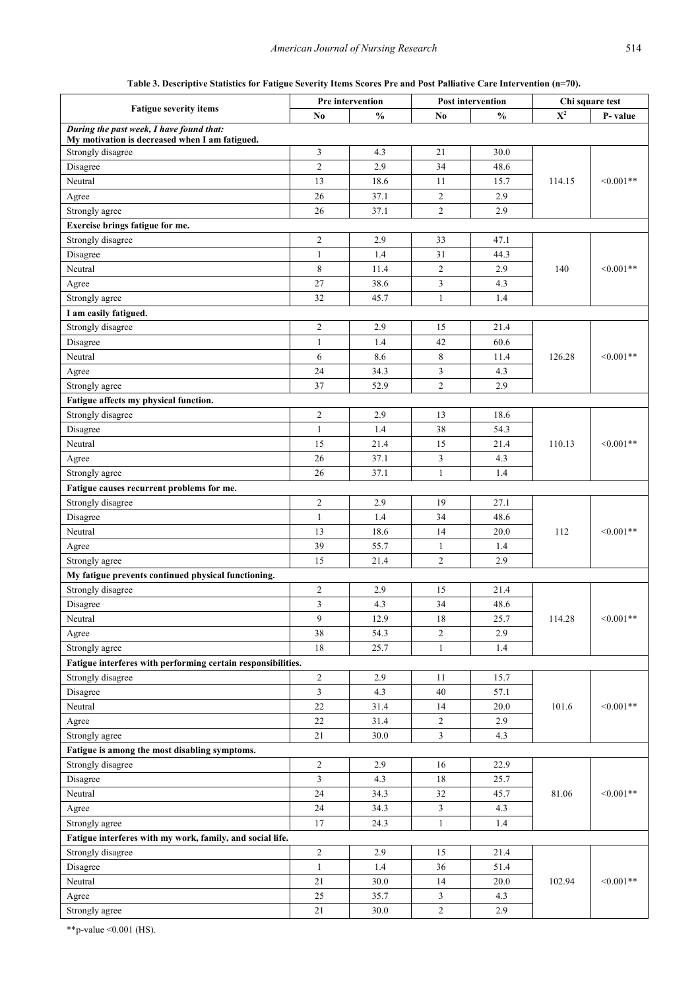**Table 3. Descriptive Statistics for Fatigue Severity Items Scores Pre and Post Palliative Care Intervention (n=70).**

<span id="page-5-0"></span>

|                                                              | Pre intervention |               | <b>Post intervention</b> |               | Chi square test           |             |  |
|--------------------------------------------------------------|------------------|---------------|--------------------------|---------------|---------------------------|-------------|--|
| <b>Fatigue severity items</b>                                | No               | $\frac{0}{0}$ | No                       | $\frac{0}{0}$ | $\overline{\mathbf{X}^2}$ | P-value     |  |
| During the past week, I have found that:                     |                  |               |                          |               |                           |             |  |
| My motivation is decreased when I am fatigued.               |                  |               |                          |               |                           |             |  |
| Strongly disagree                                            | 3                | 4.3           | 21                       | 30.0          |                           |             |  |
| Disagree                                                     | $\overline{c}$   | 2.9           | 34                       | 48.6          |                           |             |  |
| Neutral                                                      | 13               | 18.6          | 11                       | 15.7          | 114.15                    | $<0.001**$  |  |
| Agree                                                        | 26               | 37.1          | $\overline{2}$           | 2.9           |                           |             |  |
| Strongly agree                                               | 26               | 37.1          | $\overline{2}$           | 2.9           |                           |             |  |
| Exercise brings fatigue for me.                              |                  |               |                          |               |                           |             |  |
| Strongly disagree                                            | $\overline{c}$   | 2.9           | 33                       | 47.1          |                           |             |  |
| Disagree                                                     | $\mathbf{1}$     | 1.4           | 31                       | 44.3          |                           | $<0.001**$  |  |
| Neutral                                                      | 8                | 11.4          | $\overline{2}$           | 2.9           | 140                       |             |  |
| Agree                                                        | 27               | 38.6          | 3                        | 4.3           |                           |             |  |
| Strongly agree                                               | 32               | 45.7          | 1                        | 1.4           |                           |             |  |
| I am easily fatigued.                                        |                  |               |                          |               |                           |             |  |
| Strongly disagree                                            | $\overline{c}$   | 2.9           | 15                       | 21.4          |                           |             |  |
| Disagree                                                     | 1                | 1.4           | 42                       | 60.6          |                           |             |  |
| Neutral                                                      | 6                | 8.6           | 8                        | 11.4          | 126.28                    | $< 0.001**$ |  |
| Agree                                                        | 24               | 34.3          | $\mathfrak{Z}$           | 4.3           |                           |             |  |
| Strongly agree                                               | 37               | 52.9          | $\overline{c}$           | 2.9           |                           |             |  |
| Fatigue affects my physical function.                        |                  |               |                          |               |                           |             |  |
| Strongly disagree                                            | $\overline{c}$   | 2.9           | 13                       | 18.6          |                           |             |  |
| Disagree                                                     | $\mathbf{1}$     | 1.4           | 38                       | 54.3          |                           | $< 0.001**$ |  |
|                                                              |                  |               |                          |               |                           |             |  |
| Neutral                                                      | 15               | 21.4          | 15                       | 21.4          | 110.13                    |             |  |
| Agree                                                        | 26               | 37.1          | $\overline{3}$           | 4.3           |                           |             |  |
| Strongly agree                                               | 26               | 37.1          | $\mathbf{1}$             | 1.4           |                           |             |  |
| Fatigue causes recurrent problems for me.                    |                  |               |                          |               |                           |             |  |
| Strongly disagree                                            | $\overline{c}$   | 2.9           | 19                       | 27.1          |                           | $<0.001**$  |  |
| Disagree                                                     | $\mathbf{1}$     | 1.4           | 34                       | 48.6          |                           |             |  |
| Neutral                                                      | 13               | 18.6          | 14                       | 20.0          | 112                       |             |  |
| Agree                                                        | 39               | 55.7          | 1                        | 1.4           |                           |             |  |
| Strongly agree                                               | 15               | 21.4          | $\overline{2}$           | 2.9           |                           |             |  |
| My fatigue prevents continued physical functioning.          |                  |               |                          |               |                           |             |  |
| Strongly disagree                                            | $\overline{c}$   | 2.9           | 15                       | 21.4          |                           |             |  |
| Disagree                                                     | 3                | 4.3           | 34                       | 48.6          |                           | $<0.001**$  |  |
| Neutral                                                      | 9                | 12.9          | 18                       | 25.7          | 114.28                    |             |  |
| Agree                                                        | 38               | 54.3          | $\overline{2}$           | 2.9           |                           |             |  |
| Strongly agree                                               | 18               | 25.7          | $\mathbf{1}$             | 1.4           |                           |             |  |
| Fatigue interferes with performing certain responsibilities. |                  |               |                          |               |                           |             |  |
| Strongly disagree                                            | $\overline{c}$   | 2.9           | 11                       | 15.7          |                           |             |  |
| Disagree                                                     | 3                | 4.3           | 40                       | 57.1          |                           |             |  |
| Neutral                                                      | 22               | 31.4          | 14                       | 20.0          | 101.6                     | $<0.001**$  |  |
| Agree                                                        | $22\,$           | 31.4          | $\sqrt{2}$               | 2.9           |                           |             |  |
| Strongly agree                                               | 21               | 30.0          | $\overline{3}$           | 4.3           |                           |             |  |
| Fatigue is among the most disabling symptoms.                |                  |               |                          |               |                           |             |  |
| Strongly disagree                                            | $\overline{c}$   | 2.9           | 16                       | 22.9          |                           |             |  |
|                                                              | 3                | 4.3           | 18                       | 25.7          |                           |             |  |
| Disagree                                                     |                  |               |                          |               |                           |             |  |
| Neutral                                                      | 24               | 34.3          | 32                       | 45.7          | 81.06                     | $<0.001**$  |  |
| Agree                                                        | 24               | 34.3          | $\mathfrak{Z}$           | 4.3           |                           |             |  |
| Strongly agree                                               | 17               | 24.3          | $\mathbf{1}$             | 1.4           |                           |             |  |
| Fatigue interferes with my work, family, and social life.    |                  |               |                          |               |                           |             |  |
| Strongly disagree                                            | $\overline{c}$   | 2.9           | 15                       | 21.4          |                           |             |  |
| Disagree                                                     | $\mathbf{1}$     | 1.4           | 36                       | 51.4          |                           |             |  |
| Neutral                                                      | 21               | 30.0          | 14                       | 20.0          | 102.94                    | $<0.001**$  |  |
| Agree                                                        | 25               | 35.7          | $\mathfrak{Z}$           | 4.3           |                           |             |  |
| Strongly agree                                               | 21               | 30.0          | $\sqrt{2}$               | 2.9           |                           |             |  |

\*\*p-value <0.001 (HS).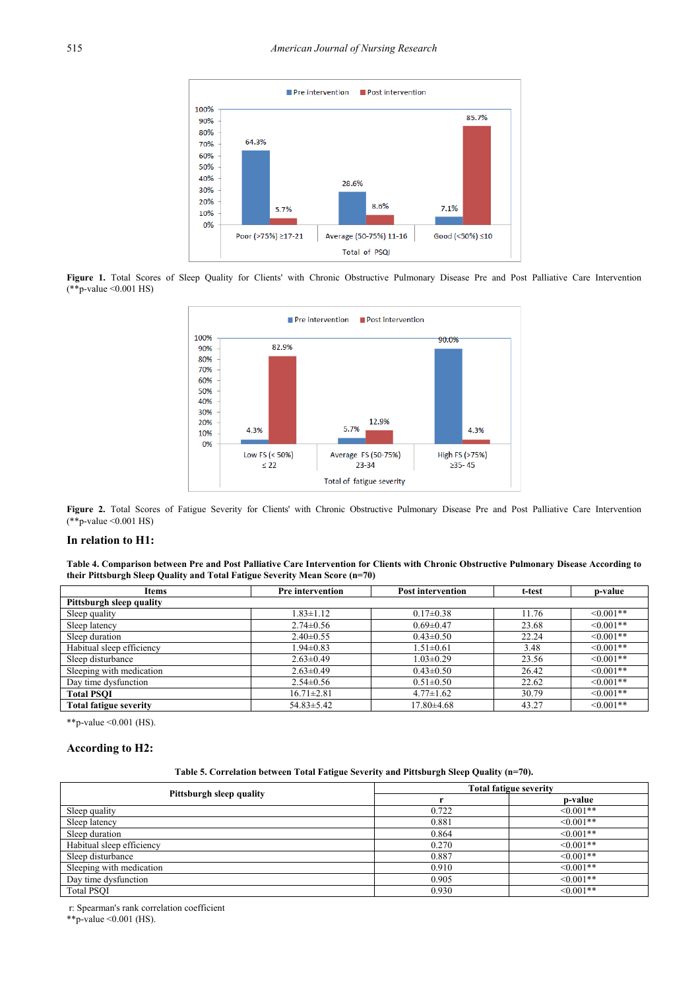<span id="page-6-0"></span>

<span id="page-6-1"></span>Figure 1. Total Scores of Sleep Quality for Clients' with Chronic Obstructive Pulmonary Disease Pre and Post Palliative Care Intervention  $(*\tilde{*}p-value < 0.001$  HS)



Figure 2. Total Scores of Fatigue Severity for Clients' with Chronic Obstructive Pulmonary Disease Pre and Post Palliative Care Intervention (\*\*p-value <0.001 HS)

#### **In relation to H1:**

**Table 4. Comparison between Pre and Post Palliative Care Intervention for Clients with Chronic Obstructive Pulmonary Disease According to their Pittsburgh Sleep Quality and Total Fatigue Severity Mean Score (n=70)**

<span id="page-6-2"></span>

| Items                     | <b>Pre</b> intervention | <b>Post intervention</b> | t-test | p-value         |  |  |  |  |
|---------------------------|-------------------------|--------------------------|--------|-----------------|--|--|--|--|
| Pittsburgh sleep quality  |                         |                          |        |                 |  |  |  |  |
| Sleep quality             | $1.83 \pm 1.12$         | $0.17 \pm 0.38$          | 11.76  | $\leq 0.001$ ** |  |  |  |  |
| Sleep latency             | $2.74 \pm 0.56$         | $0.69 \pm 0.47$          | 23.68  | $\leq 0.001$ ** |  |  |  |  |
| Sleep duration            | $2.40 \pm 0.55$         | $0.43 \pm 0.50$          | 22.24  | $\leq 0.001$ ** |  |  |  |  |
| Habitual sleep efficiency | $1.94 \pm 0.83$         | $1.51 \pm 0.61$          | 3.48   | $\leq 0.001$ ** |  |  |  |  |
| Sleep disturbance         | $2.63 \pm 0.49$         | $1.03 \pm 0.29$          | 23.56  | $\leq 0.001**$  |  |  |  |  |
| Sleeping with medication  | $2.63 \pm 0.49$         | $0.43 \pm 0.50$          | 26.42  | $\leq 0.001**$  |  |  |  |  |
| Day time dysfunction      | $2.54 \pm 0.56$         | $0.51 \pm 0.50$          | 22.62  | $\leq 0.001**$  |  |  |  |  |
| <b>Total PSOI</b>         | $16.71 \pm 2.81$        | $4.77 \pm 1.62$          | 30.79  | $\leq 0.001$ ** |  |  |  |  |
| Total fatigue severity    | $54.83 \pm 5.42$        | 17.80±4.68               | 43.27  | $\leq 0.001$ ** |  |  |  |  |

\*\*p-value <0.001 (HS).

#### **According to H2:**

#### **Table 5. Correlation between Total Fatigue Severity and Pittsburgh Sleep Quality (n=70).**

<span id="page-6-3"></span>

|                           | <b>Total fatigue severity</b> |                 |  |  |
|---------------------------|-------------------------------|-----------------|--|--|
| Pittsburgh sleep quality  |                               | p-value         |  |  |
| Sleep quality             | 0.722                         | $< 0.001**$     |  |  |
| Sleep latency             | 0.881                         | $< 0.001**$     |  |  |
| Sleep duration            | 0.864                         | $\leq 0.001**$  |  |  |
| Habitual sleep efficiency | 0.270                         | $< 0.001**$     |  |  |
| Sleep disturbance         | 0.887                         | $< 0.001**$     |  |  |
| Sleeping with medication  | 0.910                         | $\leq 0.001$ ** |  |  |
| Day time dysfunction      | 0.905                         | $< 0.001**$     |  |  |
| <b>Total PSOI</b>         | 0.930                         | $<0.001**$      |  |  |

r: Spearman's rank correlation coefficient

\*\*p-value <0.001 (HS).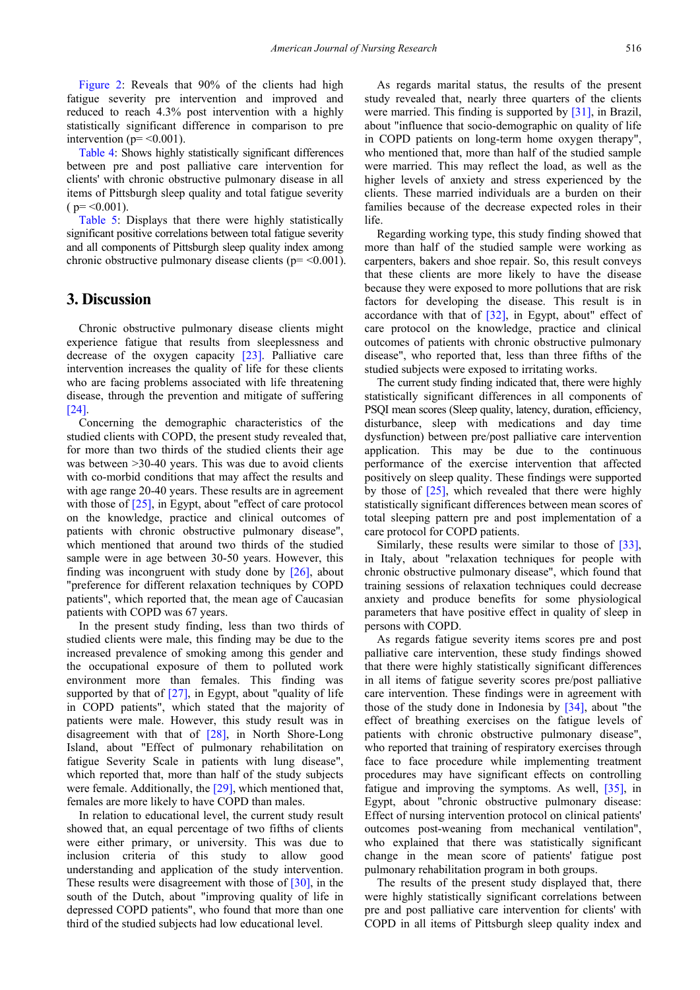[Figure 2:](#page-6-1) Reveals that 90% of the clients had high fatigue severity pre intervention and improved and reduced to reach 4.3% post intervention with a highly statistically significant difference in comparison to pre intervention ( $p = \le 0.001$ ).

[Table 4:](#page-6-2) Shows highly statistically significant differences between pre and post palliative care intervention for clients' with chronic obstructive pulmonary disease in all items of Pittsburgh sleep quality and total fatigue severity  $(p = 0.001)$ .

[Table 5:](#page-6-3) Displays that there were highly statistically significant positive correlations between total fatigue severity and all components of Pittsburgh sleep quality index among chronic obstructive pulmonary disease clients ( $p = < 0.001$ ).

# **3. Discussion**

Chronic obstructive pulmonary disease clients might experience fatigue that results from sleeplessness and decrease of the oxygen capacity [\[23\].](#page-9-5) Palliative care intervention increases the quality of life for these clients who are facing problems associated with life threatening disease, through the prevention and mitigate of suffering [\[24\].](#page-9-6)

Concerning the demographic characteristics of the studied clients with COPD, the present study revealed that, for more than two thirds of the studied clients their age was between >30-40 years. This was due to avoid clients with co-morbid conditions that may affect the results and with age range 20-40 years. These results are in agreement with those of [\[25\],](#page-9-7) in Egypt, about "effect of care protocol" on the knowledge, practice and clinical outcomes of patients with chronic obstructive pulmonary disease", which mentioned that around two thirds of the studied sample were in age between 30-50 years. However, this finding was incongruent with study done by [\[26\],](#page-9-8) about "preference for different relaxation techniques by COPD patients", which reported that, the mean age of Caucasian patients with COPD was 67 years.

In the present study finding, less than two thirds of studied clients were male, this finding may be due to the increased prevalence of smoking among this gender and the occupational exposure of them to polluted work environment more than females. This finding was supported by that of [\[27\],](#page-9-9) in Egypt, about "quality of life in COPD patients", which stated that the majority of patients were male. However, this study result was in disagreement with that of [\[28\],](#page-9-10) in North Shore-Long Island, about "Effect of pulmonary rehabilitation on fatigue Severity Scale in patients with lung disease", which reported that, more than half of the study subjects were female. Additionally, the [\[29\],](#page-9-11) which mentioned that, females are more likely to have COPD than males.

In relation to educational level, the current study result showed that, an equal percentage of two fifths of clients were either primary, or university. This was due to inclusion criteria of this study to allow good understanding and application of the study intervention. These results were disagreement with those of [\[30\],](#page-9-12) in the south of the Dutch, about "improving quality of life in depressed COPD patients", who found that more than one third of the studied subjects had low educational level.

As regards marital status, the results of the present study revealed that, nearly three quarters of the clients were married. This finding is supported by [\[31\],](#page-9-13) in Brazil, about "influence that socio-demographic on quality of life in COPD patients on long-term home oxygen therapy", who mentioned that, more than half of the studied sample were married. This may reflect the load, as well as the higher levels of anxiety and stress experienced by the clients. These married individuals are a burden on their families because of the decrease expected roles in their life.

Regarding working type, this study finding showed that more than half of the studied sample were working as carpenters, bakers and shoe repair. So, this result conveys that these clients are more likely to have the disease because they were exposed to more pollutions that are risk factors for developing the disease. This result is in accordance with that of [\[32\],](#page-9-14) in Egypt, about" effect of care protocol on the knowledge, practice and clinical outcomes of patients with chronic obstructive pulmonary disease", who reported that, less than three fifths of the studied subjects were exposed to irritating works.

The current study finding indicated that, there were highly statistically significant differences in all components of PSQI mean scores (Sleep quality, latency, duration, efficiency, disturbance, sleep with medications and day time dysfunction) between pre/post palliative care intervention application. This may be due to the continuous performance of the exercise intervention that affected positively on sleep quality. These findings were supported by those of  $[25]$ , which revealed that there were highly statistically significant differences between mean scores of total sleeping pattern pre and post implementation of a care protocol for COPD patients.

Similarly, these results were similar to those of [\[33\],](#page-9-15) in Italy, about "relaxation techniques for people with chronic obstructive pulmonary disease", which found that training sessions of relaxation techniques could decrease anxiety and produce benefits for some physiological parameters that have positive effect in quality of sleep in persons with COPD.

As regards fatigue severity items scores pre and post palliative care intervention, these study findings showed that there were highly statistically significant differences in all items of fatigue severity scores pre/post palliative care intervention. These findings were in agreement with those of the study done in Indonesia by [\[34\],](#page-9-16) about "the effect of breathing exercises on the fatigue levels of patients with chronic obstructive pulmonary disease", who reported that training of respiratory exercises through face to face procedure while implementing treatment procedures may have significant effects on controlling fatigue and improving the symptoms. As well, [\[35\],](#page-9-17) in Egypt, about "chronic obstructive pulmonary disease: Effect of nursing intervention protocol on clinical patients' outcomes post-weaning from mechanical ventilation", who explained that there was statistically significant change in the mean score of patients' fatigue post pulmonary rehabilitation program in both groups.

The results of the present study displayed that, there were highly statistically significant correlations between pre and post palliative care intervention for clients' with COPD in all items of Pittsburgh sleep quality index and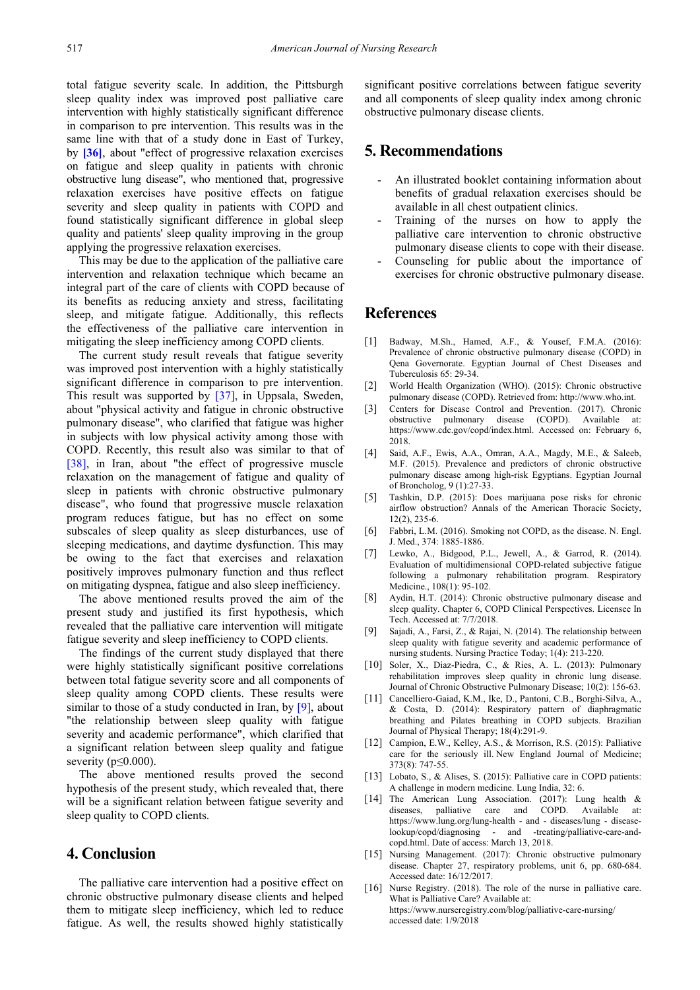total fatigue severity scale. In addition, the Pittsburgh sleep quality index was improved post palliative care intervention with highly statistically significant difference in comparison to pre intervention. This results was in the same line with that of a study done in East of Turkey, by **[\[36\]](#page-9-18)**, about "effect of progressive relaxation exercises on fatigue and sleep quality in patients with chronic obstructive lung disease", who mentioned that, progressive relaxation exercises have positive effects on fatigue severity and sleep quality in patients with COPD and found statistically significant difference in global sleep quality and patients' sleep quality improving in the group applying the progressive relaxation exercises.

This may be due to the application of the palliative care intervention and relaxation technique which became an integral part of the care of clients with COPD because of its benefits as reducing anxiety and stress, facilitating sleep, and mitigate fatigue. Additionally, this reflects the effectiveness of the palliative care intervention in mitigating the sleep inefficiency among COPD clients.

The current study result reveals that fatigue severity was improved post intervention with a highly statistically significant difference in comparison to pre intervention. This result was supported by [\[37\],](#page-9-19) in Uppsala, Sweden, about "physical activity and fatigue in chronic obstructive pulmonary disease", who clarified that fatigue was higher in subjects with low physical activity among those with COPD. Recently, this result also was similar to that of [\[38\],](#page-9-20) in Iran, about "the effect of progressive muscle relaxation on the management of fatigue and quality of sleep in patients with chronic obstructive pulmonary disease", who found that progressive muscle relaxation program reduces fatigue, but has no effect on some subscales of sleep quality as sleep disturbances, use of sleeping medications, and daytime dysfunction. This may be owing to the fact that exercises and relaxation positively improves pulmonary function and thus reflect on mitigating dyspnea, fatigue and also sleep inefficiency.

The above mentioned results proved the aim of the present study and justified its first hypothesis, which revealed that the palliative care intervention will mitigate fatigue severity and sleep inefficiency to COPD clients.

The findings of the current study displayed that there were highly statistically significant positive correlations between total fatigue severity score and all components of sleep quality among COPD clients. These results were similar to those of a study conducted in Iran, by [\[9\],](#page-8-6) about "the relationship between sleep quality with fatigue severity and academic performance", which clarified that a significant relation between sleep quality and fatigue severity ( $p \leq 0.000$ ).

The above mentioned results proved the second hypothesis of the present study, which revealed that, there will be a significant relation between fatigue severity and sleep quality to COPD clients.

# **4. Conclusion**

The palliative care intervention had a positive effect on chronic obstructive pulmonary disease clients and helped them to mitigate sleep inefficiency, which led to reduce fatigue. As well, the results showed highly statistically significant positive correlations between fatigue severity and all components of sleep quality index among chronic obstructive pulmonary disease clients.

# **5. Recommendations**

- An illustrated booklet containing information about benefits of gradual relaxation exercises should be available in all chest outpatient clinics.
- Training of the nurses on how to apply the palliative care intervention to chronic obstructive pulmonary disease clients to cope with their disease.
- Counseling for public about the importance of exercises for chronic obstructive pulmonary disease.

# **References**

- <span id="page-8-0"></span>[1] Badway, M.Sh., Hamed, A.F., & Yousef, F.M.A. (2016): Prevalence of chronic obstructive pulmonary disease (COPD) in Qena Governorate. Egyptian Journal of Chest Diseases and Tuberculosis 65: 29-34.
- <span id="page-8-1"></span>[2] World Health Organization (WHO). (2015): Chronic obstructive pulmonary disease (COPD). Retrieved from: http://www.who.int.
- [3] Centers for Disease Control and Prevention. (2017). Chronic obstructive pulmonary disease (COPD). Available at: https://www.cdc.gov/copd/index.html. Accessed on: February 6, 2018.
- <span id="page-8-2"></span>[4] Said, A.F., Ewis, A.A., Omran, A.A., Magdy, M.E., & Saleeb, M.F. (2015). Prevalence and predictors of chronic obstructive pulmonary disease among high-risk Egyptians. Egyptian Journal of Broncholog, 9 (1):27-33.
- <span id="page-8-3"></span>[5] Tashkin, D.P. (2015): Does marijuana pose risks for chronic airflow obstruction? Annals of the American Thoracic Society,  $12(2)$ , 235-6.
- [6] Fabbri, L.M. (2016). Smoking not COPD, as the disease. N. Engl. J. Med., 374: 1885-1886.
- <span id="page-8-4"></span>[7] Lewko, A., Bidgood, P.L., Jewell, A., & Garrod, R. (2014). Evaluation of multidimensional COPD-related subjective fatigue following a pulmonary rehabilitation program. Respiratory Medicine., 108(1): 95-102.
- <span id="page-8-5"></span>[8] Aydin, H.T. (2014): Chronic obstructive pulmonary disease and sleep quality. Chapter 6, COPD Clinical Perspectives. Licensee In Tech. Accessed at: 7/7/2018.
- <span id="page-8-6"></span>[9] Sajadi, A., Farsi, Z., & Rajai, N. (2014). The relationship between sleep quality with fatigue severity and academic performance of nursing students. Nursing Practice Today; 1(4): 213-220.
- <span id="page-8-7"></span>[10] Soler, X., Diaz-Piedra, C., & Ries, A. L. (2013): Pulmonary rehabilitation improves sleep quality in chronic lung disease. Journal of Chronic Obstructive Pulmonary Disease; 10(2): 156-63.
- <span id="page-8-8"></span>[11] Cancelliero-Gaiad, K.M., Ike, D., Pantoni, C.B., Borghi-Silva, A., & Costa, D. (2014): Respiratory pattern of diaphragmatic breathing and Pilates breathing in COPD subjects. Brazilian Journal of Physical Therapy; 18(4):291-9.
- <span id="page-8-9"></span>[12] Campion, E.W., Kelley, A.S., & Morrison, R.S. (2015): Palliative care for the seriously ill. New England Journal of Medicine; 373(8): 747-55.
- <span id="page-8-10"></span>[13] Lobato, S., & Alises, S. (2015): Palliative care in COPD patients: A challenge in modern medicine. Lung India, 32: 6.
- <span id="page-8-11"></span>[14] The American Lung Association. (2017): Lung health & diseases, palliative care and COPD. Available at: https://www.lung.org/lung-health - and - diseases/lung - diseaselookup/copd/diagnosing - and -treating/palliative-care-andcopd.html. Date of access: March 13, 2018.
- <span id="page-8-12"></span>[15] Nursing Management. (2017): Chronic obstructive pulmonary disease. Chapter 27, respiratory problems, unit 6, pp. 680-684. Accessed date: 16/12/2017.
- <span id="page-8-13"></span>[16] Nurse Registry. (2018). The role of the nurse in palliative care. What is Palliative Care? Available at: https://www.nurseregistry.com/blog/palliative-care-nursing/ accessed date: 1/9/2018